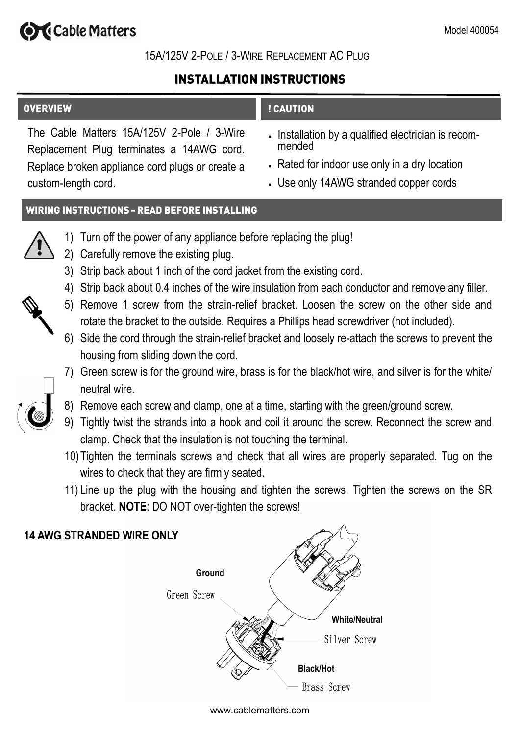# **Ord** Cable Matters

# 15A/125V 2-POLE / 3-WIRE REPLACEMENT AC PLUG

# **INSTALLATION INSTRUCTIONS**

# **OVERVIEW** ! CAUTION

The Cable Matters 15A/125V 2-Pole / 3-Wire Replacement Plug terminates a 14AWG cord. Replace broken appliance cord plugs or create a custom-length cord.

- Installation by a qualified electrician is recommended
- Rated for indoor use only in a dry location
- Use only 14AWG stranded copper cords

# **WIRING INSTRUCTIONS - READ BEFORE INSTALLING**



- 1) Turn off the power of any appliance before replacing the plug!
- 2) Carefully remove the existing plug.
- 3) Strip back about 1 inch of the cord jacket from the existing cord.
- 4) Strip back about 0.4 inches of the wire insulation from each conductor and remove any filler.
- 5) Remove 1 screw from the strain-relief bracket. Loosen the screw on the other side and rotate the bracket to the outside. Requires a Phillips head screwdriver (not included).
- 6) Side the cord through the strain-relief bracket and loosely re-attach the screws to prevent the housing from sliding down the cord.
- 7) Green screw is for the ground wire, brass is for the black/hot wire, and silver is for the white/ neutral wire.
- 8) Remove each screw and clamp, one at a time, starting with the green/ground screw.
- 9) Tightly twist the strands into a hook and coil it around the screw. Reconnect the screw and clamp. Check that the insulation is not touching the terminal.
- 10)Tighten the terminals screws and check that all wires are properly separated. Tug on the wires to check that they are firmly seated.
- 11) Line up the plug with the housing and tighten the screws. Tighten the screws on the SR bracket. **NOTE**: DO NOT over-tighten the screws!



### www.cablematters.com